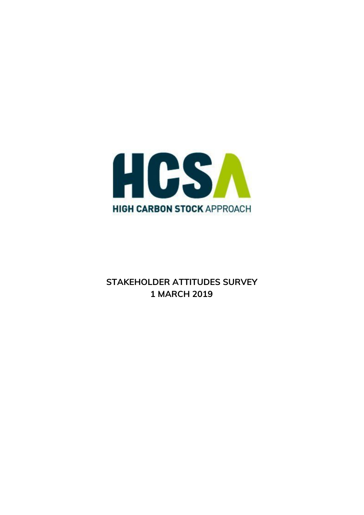

# **STAKEHOLDER ATTITUDES SURVEY 1 MARCH 2019**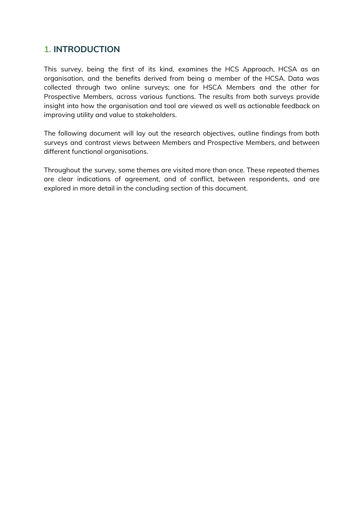# **1. INTRODUCTION**

This survey, being the first of its kind, examines the HCS Approach, HCSA as an organisation, and the benefits derived from being a member of the HCSA. Data was collected through two online surveys; one for HSCA Members and the other for Prospective Members, across various functions. The results from both surveys provide insight into how the organisation and tool are viewed as well as actionable feedback on improving utility and value to stakeholders.

The following document will lay out the research objectives, outline findings from both surveys and contrast views between Members and Prospective Members, and between different functional organisations.

Throughout the survey, some themes are visited more than once. These repeated themes are clear indications of agreement, and of conflict, between respondents, and are explored in more detail in the concluding section of this document.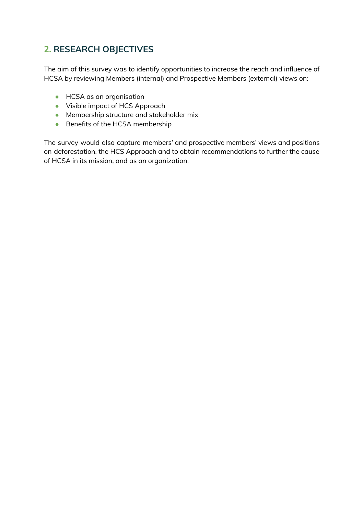# **2. RESEARCH OBJECTIVES**

The aim of this survey was to identify opportunities to increase the reach and influence of HCSA by reviewing Members (internal) and Prospective Members (external) views on:

- **•** HCSA as an organisation
- Visible impact of HCS Approach
- Membership structure and stakeholder mix
- Benefits of the HCSA membership

The survey would also capture members' and prospective members' views and positions on deforestation, the HCS Approach and to obtain recommendations to further the cause of HCSA in its mission, and as an organization.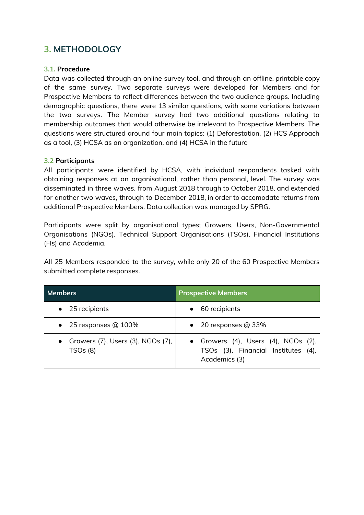# **3. METHODOLOGY**

## **3.1. Procedure**

Data was collected through an online survey tool, and through an offline, printable copy of the same survey. Two separate surveys were developed for Members and for Prospective Members to reflect differences between the two audience groups. Including demographic questions, there were 13 similar questions, with some variations between the two surveys. The Member survey had two additional questions relating to membership outcomes that would otherwise be irrelevant to Prospective Members. The questions were structured around four main topics: (1) Deforestation, (2) HCS Approach as a tool, (3) HCSA as an organization, and (4) HCSA in the future

# **3.2 Participants**

All participants were identified by HCSA, with individual respondents tasked with obtaining responses at an organisational, rather than personal, level. The survey was disseminated in three waves, from August 2018 through to October 2018, and extended for another two waves, through to December 2018, in order to accomodate returns from additional Prospective Members. Data collection was managed by SPRG.

Participants were split by organisational types; Growers, Users, Non-Governmental Organisations (NGOs), Technical Support Organisations (TSOs), Financial Institutions (FIs) and Academia.

All 25 Members responded to the survey, while only 20 of the 60 Prospective Members submitted complete responses.

| <b>Members</b>                                                               | <b>Prospective Members</b>                                                                           |  |  |  |
|------------------------------------------------------------------------------|------------------------------------------------------------------------------------------------------|--|--|--|
| $\bullet$ 25 recipients                                                      | 60 recipients                                                                                        |  |  |  |
| $\bullet$ 25 responses @ 100%                                                | $\bullet$ 20 responses @ 33%                                                                         |  |  |  |
| • Growers $(7)$ , Users $(3)$ , NGOs $(7)$ , $\vert$<br>TSO <sub>s</sub> (8) | • Growers $(4)$ , Users $(4)$ , NGOs $(2)$ ,<br>TSOs (3), Financial Institutes (4),<br>Academics (3) |  |  |  |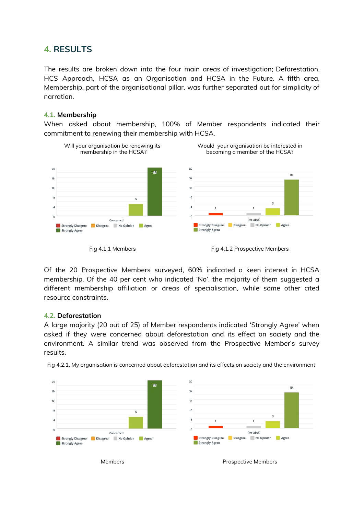# **4. RESULTS**

The results are broken down into the four main areas of investigation; Deforestation, HCS Approach, HCSA as an Organisation and HCSA in the Future. A fifth area, Membership, part of the organisational pillar, was further separated out for simplicity of narration.

## **4.1. Membership**

When asked about membership, 100% of Member respondents indicated their commitment to renewing their membership with HCSA.



Of the 20 Prospective Members surveyed, 60% indicated a keen interest in HCSA membership. Of the 40 per cent who indicated 'No', the majority of them suggested a different membership affiliation or areas of specialisation, while some other cited resource constraints.

## **4.2. Deforestation**

A large majority (20 out of 25) of Member respondents indicated 'Strongly Agree' when asked if they were concerned about deforestation and its effect on society and the environment. A similar trend was observed from the Prospective Member's survey results.



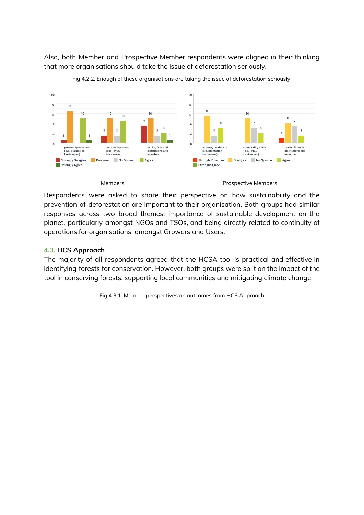Also, both Member and Prospective Member respondents were aligned in their thinking that more organisations should take the issue of deforestation seriously.



Fig 4.2.2. Enough of these organisations are taking the issue of deforestation seriously

### Members **Members** Prospective Members

Respondents were asked to share their perspective on how sustainability and the prevention of deforestation are important to their organisation. Both groups had similar responses across two broad themes; importance of sustainable development on the planet, particularly amongst NGOs and TSOs, and being directly related to continuity of operations for organisations, amongst Growers and Users.

## **4.3. HCS Approach**

The majority of all respondents agreed that the HCSA tool is practical and effective in identifying forests for conservation. However, both groups were split on the impact of the tool in conserving forests, supporting local communities and mitigating climate change.

Fig 4.3.1. Member perspectives on outcomes from HCS Approach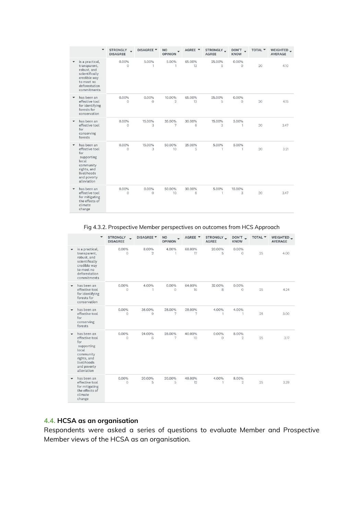|                          | $\blacktriangledown$                                                                                                                 | <b>STRONGLY</b><br>$\overline{\phantom{a}}$<br><b>DISAGREE</b> | DISAGREE <sup>V</sup> | <b>NO</b><br><b>OPINION</b> | AGREE Y      | STRONGLY_<br><b>AGREE</b> | DON'T_<br><b>KNOW</b> | TOTAL <b>T</b> | WEIGHTED_<br><b>AVERAGE</b> |
|--------------------------|--------------------------------------------------------------------------------------------------------------------------------------|----------------------------------------------------------------|-----------------------|-----------------------------|--------------|---------------------------|-----------------------|----------------|-----------------------------|
|                          | is a practical,<br>transparent,<br>robust, and<br>scientifically<br>credible way<br>to meet no<br>deforestation<br>commitments       | $0.00\%$<br>$\circ$                                            | 5.00%<br>$\mathbf{1}$ | 5.00%<br>1                  | 65.00%<br>13 | 25.00%<br>5               | $0.00\%$<br>0         | 20             | 4.10                        |
| $\overline{\phantom{a}}$ | has been an<br>effective tool<br>for identifying<br>forests for<br>conservation                                                      | 0.00%<br>$\circ$                                               | $0.00\%$<br>$\Omega$  | 10.00%<br>$\overline{2}$    | 65.00%<br>13 | 25.00%<br>5               | $0.00\%$<br>$\circ$   | 20             | 4.15                        |
| $\mathbf{v}$             | has been an<br>effective tool<br>for<br>conserving<br>forests                                                                        | $0.00\%$<br>$\circ$                                            | 15.00%<br>3           | 35.00%<br>7                 | 30.00%<br>6  | 15.00%<br>3               | 5.00%<br>1            | 20             | 3.47                        |
| $\checkmark$             | has been an<br>effective tool<br>for<br>supporting<br>local<br>community<br>rights, and<br>livelihoods<br>and poverty<br>alleviation | $0.00\%$<br>0                                                  | 15.00%<br>3           | 50.00%<br>10                | 25.00%<br>5  | 5.00%<br>1                | 5.00%<br>$\mathbf{1}$ | 20             | 3.21                        |
| $\blacktriangledown$     | has been an<br>effective tool<br>for mitigating<br>the effects of<br>climate<br>change                                               | 0.00%<br>0                                                     | 0.00%<br>$\circ$      | 50.00%<br>10                | 30.00%<br>6  | 5.00%<br>1                | 15.00%<br>3           | 20             | 3.47                        |

Fig 4.3.2. Prospective Member perspectives on outcomes from HCS Approach

|                          | $\overline{\phantom{a}}$                                                                                                             | <b>STRONGLY</b><br><b>DISAGREE</b> | <b>DISAGREE</b> ▼       | <b>NO</b><br><b>OPINION</b> | AGREE Y                    | STRONGLY_<br><b>AGREE</b> | DON'T<br><b>KNOW</b>    | TOTAL <b>T</b> | WEIGHTED _<br><b>AVERAGE</b> |
|--------------------------|--------------------------------------------------------------------------------------------------------------------------------------|------------------------------------|-------------------------|-----------------------------|----------------------------|---------------------------|-------------------------|----------------|------------------------------|
| $\overline{\phantom{a}}$ | is a practical,<br>transparent,<br>robust, and<br>scientifically<br>credible way<br>to meet no<br>deforestation<br>commitments       | 0.00%<br>$\Omega$                  | 8.00%<br>$\overline{2}$ | 4.00%<br>1                  | 68.00%<br>17               | 20.00%<br>5               | $0.00\%$<br>$\Omega$    | 25             | 4.00                         |
|                          | has been an<br>effective tool<br>for identifying<br>forests for<br>conservation                                                      | 0.00%<br>0                         | 4.00%<br>1              | 0.00%<br>$\circ$            | 64.00%<br>16               | 32.00%<br>8               | 0.00%<br>$\circ$        | 25             | 4.24                         |
|                          | has been an<br>effective tool<br>for<br>conserving<br>forests                                                                        | 0.00%<br>$\circ$                   | 36.00%<br>9             | 28.00%<br>7                 | 28.00%<br>7                | 4.00%<br>$\mathbf{1}$     | 4.00%<br>1              | 25             | 3.00                         |
| $\overline{\phantom{a}}$ | has been an<br>effective tool<br>for<br>supporting<br>local<br>community<br>rights, and<br>livelihoods<br>and poverty<br>alleviation | 0.00%<br>$\Omega$                  | 24.00%<br>6             | 28.00%<br>7                 | 40.00%<br>10 <sup>10</sup> | $0.00\%$<br>$\Omega$      | 8.00%<br>$\overline{2}$ | 25             | 3.17                         |
| $\checkmark$             | has been an<br>effective tool<br>for mitigating<br>the effects of<br>climate<br>change                                               | $0.00\%$<br>$\circ$                | 20.00%<br>5             | 20.00%<br>5                 | 48.00%<br>12               | 4.00%                     | 8.00%<br>$\overline{2}$ | 25             | 3.39                         |

# **4.4. HCSA as an organisation**

Respondents were asked a series of questions to evaluate Member and Prospective Member views of the HCSA as an organisation.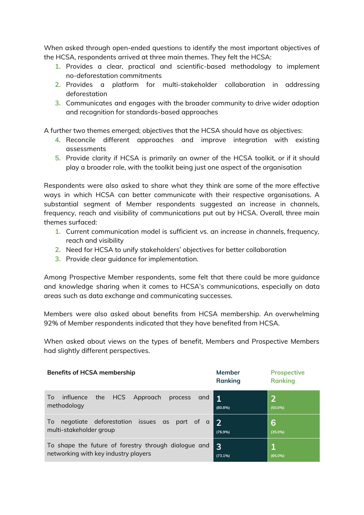When asked through open-ended questions to identify the most important objectives of the HCSA, respondents arrived at three main themes. They felt the HCSA:

- **1.** Provides a clear, practical and scientific-based methodology to implement no-deforestation commitments
- **2.** Provides a platform for multi-stakeholder collaboration in addressing deforestation
- **3.** Communicates and engages with the broader community to drive wider adoption and recognition for standards-based approaches

A further two themes emerged; objectives that the HCSA should have as objectives:

- **4.** Reconcile different approaches and improve integration with existing assessments
- **5.** Provide clarity if HCSA is primarily an owner of the HCSA toolkit, or if it should play a broader role, with the toolkit being just one aspect of the organisation

Respondents were also asked to share what they think are some of the more effective ways in which HCSA can better communicate with their respective organisations. A substantial segment of Member respondents suggested an increase in channels, frequency, reach and visibility of communications put out by HCSA. Overall, three main themes surfaced:

- **1.** Current communication model is sufficient vs. an increase in channels, frequency, reach and visibility
- **2.** Need for HCSA to unify stakeholders' objectives for better collaboration
- **3.** Provide clear guidance for implementation.

Among Prospective Member respondents, some felt that there could be more guidance and knowledge sharing when it comes to HCSA's communications, especially on data areas such as data exchange and communicating successes.

Members were also asked about benefits from HCSA membership. An overwhelming 92% of Member respondents indicated that they have benefited from HCSA.

When asked about views on the types of benefit, Members and Prospective Members had slightly different perspectives.

| <b>Benefits of HCSA membership</b>                                                           | <b>Member</b><br><b>Ranking</b> | <b>Prospective</b><br><b>Ranking</b> |
|----------------------------------------------------------------------------------------------|---------------------------------|--------------------------------------|
| the HCS Approach<br>influence<br>process<br>Τo<br>and<br>methodology                         | $\mathbf 1$<br>(80.8%)          | $\mathbf{Z}$<br>$(50.0\%)$           |
| negotiate deforestation issues as part of a<br>$\overline{0}$<br>multi-stakeholder group     | $\overline{2}$<br>(76.9%)       | 6<br>$(35.0\%)$                      |
| To shape the future of forestry through dialogue and<br>networking with key industry players | 3<br>(73.1%)                    | $(65.0\%)$                           |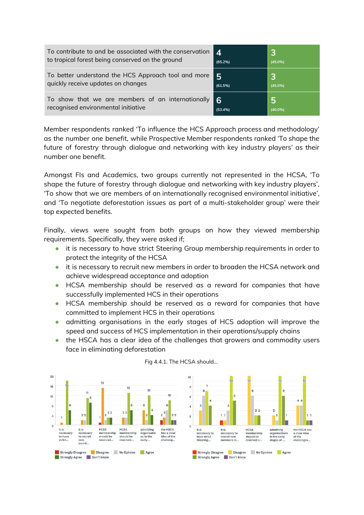| To contribute to and be associated with the conservation | 4       | 3          |
|----------------------------------------------------------|---------|------------|
| to tropical forest being conserved on the ground         | (65.2%) | $(45.0\%)$ |
| To better understand the HCS Approach tool and more      | 5       | 3          |
| quickly receive updates on changes                       | (61.5%) | $(45.0\%)$ |
| To show that we are members of an internationally        | 6       | <b>5</b>   |
| recognised environmental initiative                      | (53.4%) | $(40.0\%)$ |

Member respondents ranked 'To influence the HCS Approach process and methodology' as the number one benefit, while Prospective Member respondents ranked 'To shape the future of forestry through dialogue and networking with key industry players' as their number one benefit.

Amongst FIs and Academics, two groups currently not represented in the HCSA, 'To shape the future of forestry through dialogue and networking with key industry players', 'To show that we are members of an internationally recognised environmental initiative', and 'To negotiate deforestation issues as part of a multi-stakeholder group' were their top expected benefits.

Finally, views were sought from both groups on how they viewed membership requirements. Specifically, they were asked if;

- it is necessary to have strict Steering Group membership requirements in order to protect the integrity of the HCSA
- it is necessary to recruit new members in order to broaden the HCSA network and achieve widespread acceptance and adoption
- HCSA membership should be reserved as a reward for companies that have successfully implemented HCS in their operations
- HCSA membership should be reserved as a reward for companies that have committed to implement HCS in their operations
- admitting organisations in the early stages of HCS adoption will improve the speed and success of HCS implementation in their operations/supply chains
- the HSCA has a clear idea of the challenges that growers and commodity users face in eliminating deforestation



## Fig 4.4.1. The HCSA should...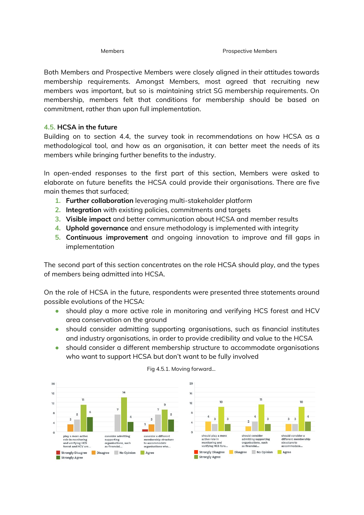Both Members and Prospective Members were closely aligned in their attitudes towards membership requirements. Amongst Members, most agreed that recruiting new members was important, but so is maintaining strict SG membership requirements. On membership, members felt that conditions for membership should be based on commitment, rather than upon full implementation.

# **4.5. HCSA in the future**

Building on to section 4.4, the survey took in recommendations on how HCSA as a methodological tool, and how as an organisation, it can better meet the needs of its members while bringing further benefits to the industry.

In open-ended responses to the first part of this section, Members were asked to elaborate on future benefits the HCSA could provide their organisations. There are five main themes that surfaced;

- **1. Further collaboration** leveraging multi-stakeholder platform
- **2. Integration** with existing policies, commitments and targets
- **3. Visible impact** and better communication about HCSA and member results
- **4. Uphold governance** and ensure methodology is implemented with integrity
- **5. Continuous improvement** and ongoing innovation to improve and fill gaps in implementation

The second part of this section concentrates on the role HCSA should play, and the types of members being admitted into HCSA.

On the role of HCSA in the future, respondents were presented three statements around possible evolutions of the HCSA:

- should play a more active role in monitoring and verifying HCS forest and HCV area conservation on the ground
- should consider admitting supporting organisations, such as financial institutes and industry organisations, in order to provide credibility and value to the HCSA
- should consider a different membership structure to accommodate organisations who want to support HCSA but don't want to be fully involved



## Fig 4.5.1. Moving forward...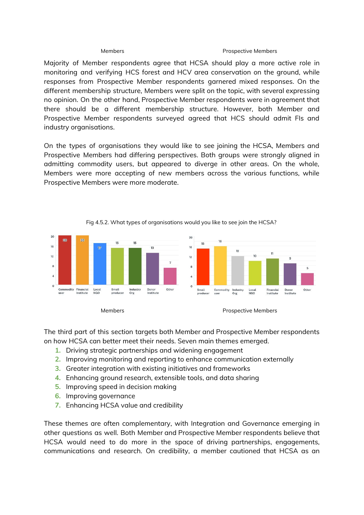### Members **Members** Prospective Members

Majority of Member respondents agree that HCSA should play a more active role in monitoring and verifying HCS forest and HCV area conservation on the ground, while responses from Prospective Member respondents garnered mixed responses. On the different membership structure, Members were split on the topic, with several expressing no opinion. On the other hand, Prospective Member respondents were in agreement that there should be a different membership structure. However, both Member and Prospective Member respondents surveyed agreed that HCS should admit FIs and industry organisations.

On the types of organisations they would like to see joining the HCSA, Members and Prospective Members had differing perspectives. Both groups were strongly aligned in admitting commodity users, but appeared to diverge in other areas. On the whole, Members were more accepting of new members across the various functions, while Prospective Members were more moderate.



Fig 4.5.2. What types of organisations would you like to see join the HCSA?

The third part of this section targets both Member and Prospective Member respondents on how HCSA can better meet their needs. Seven main themes emerged.

- **1.** Driving strategic partnerships and widening engagement
- **2.** Improving monitoring and reporting to enhance communication externally
- **3.** Greater integration with existing initiatives and frameworks
- **4.** Enhancing ground research, extensible tools, and data sharing
- **5.** Improving speed in decision making
- **6.** Improving governance
- **7.** Enhancing HCSA value and credibility

These themes are often complementary, with Integration and Governance emerging in other questions as well. Both Member and Prospective Member respondents believe that HCSA would need to do more in the space of driving partnerships, engagements, communications and research. On credibility, a member cautioned that HCSA as an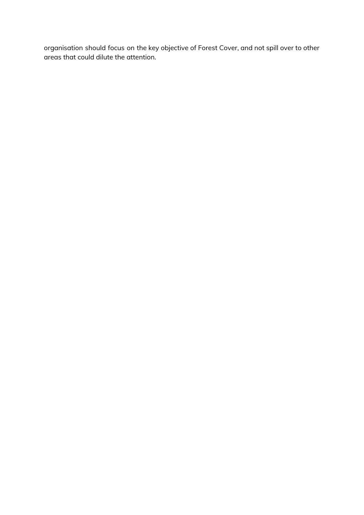organisation should focus on the key objective of Forest Cover, and not spill over to other areas that could dilute the attention.